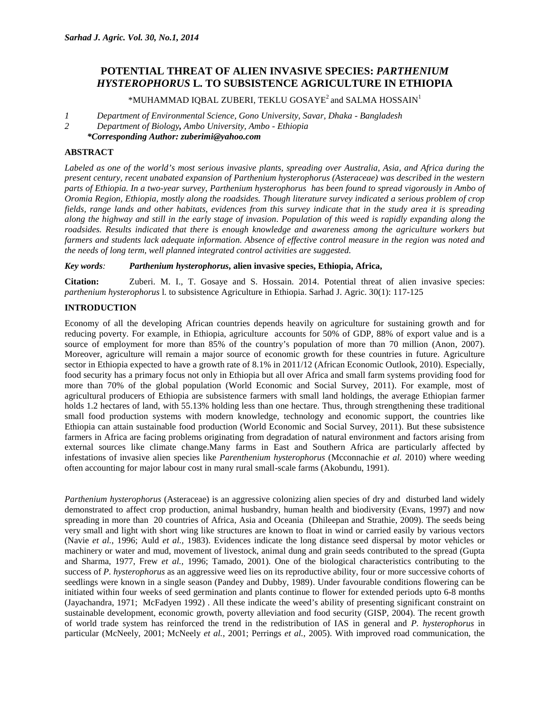# **POTENTIAL THREAT OF ALIEN INVASIVE SPECIES:** *PARTHENIUM HYSTEROPHORUS* **L***.* **TO SUBSISTENCE AGRICULTURE IN ETHIOPIA**

 $*$ MUHAMMAD IQBAL ZUBERI, TEKLU GOSAYE<sup>2</sup> and SALMA HOSSAIN<sup>1</sup>

- *1 Department of Environmental Science, Gono University, Savar, Dhaka - Bangladesh*
- *2 Department of Biology, Ambo University, Ambo - Ethiopia*
- *\*Corresponding Author: zuberimi@yahoo.com*

# **ABSTRACT**

*Labeled as one of the world's most serious invasive plants, spreading over Australia, Asia, and Africa during the present century, recent unabated expansion of Parthenium hysterophorus (Asteraceae) was described in the western parts of Ethiopia. In a two-year survey, Parthenium hysterophorus has been found to spread vigorously in Ambo of Oromia Region, Ethiopia, mostly along the roadsides. Though literature survey indicated a serious problem of crop fields, range lands and other habitats, evidences from this survey indicate that in the study area it is spreading along the highway and still in the early stage of invasion. Population of this weed is rapidly expanding along the roadsides. Results indicated that there is enough knowledge and awareness among the agriculture workers but farmers and students lack adequate information. Absence of effective control measure in the region was noted and the needs of long term, well planned integrated control activities are suggested.*

*Key words: Parthenium hysterophorus***, alien invasive species, Ethiopia, Africa,**

**Citation:** Zuberi. M. I., T. Gosaye and S. Hossain. 2014. Potential threat of alien invasive species: *parthenium hysterophorus* l*.* to subsistence Agriculture in Ethiopia. Sarhad J. Agric. 30(1): 117-125

# **INTRODUCTION**

Economy of all the developing African countries depends heavily on agriculture for sustaining growth and for reducing poverty. For example, in Ethiopia, agriculture accounts for 50% of GDP, 88% of export value and is a source of employment for more than 85% of the country's population of more than 70 million (Anon, 2007). Moreover, agriculture will remain a major source of economic growth for these countries in future. Agriculture sector in Ethiopia expected to have a growth rate of 8.1% in 2011/12 (African Economic Outlook, 2010). Especially, food security has a primary focus not only in Ethiopia but all over Africa and small farm systems providing food for more than 70% of the global population (World Economic and Social Survey, 2011). For example, most of agricultural producers of Ethiopia are subsistence farmers with small land holdings, the average Ethiopian farmer holds 1.2 hectares of land, with 55.13% holding less than one hectare. Thus, through strengthening these traditional small food production systems with modern knowledge, technology and economic support, the countries like Ethiopia can attain sustainable food production (World Economic and Social Survey, 2011). But these subsistence farmers in Africa are facing problems originating from degradation of natural environment and factors arising from external sources like climate change.Many farms in East and Southern Africa are particularly affected by infestations of invasive alien species like *Parenthenium hysterophorus* (Mcconnachie *et al.* 2010) where weeding often accounting for major labour cost in many rural small-scale farms (Akobundu, 1991).

*Parthenium hysterophorus* (Asteraceae) is an aggressive colonizing alien species of dry and disturbed land widely demonstrated to affect crop production, animal husbandry, human health and biodiversity (Evans, 1997) and now spreading in more than 20 countries of Africa, Asia and Oceania (Dhileepan and Strathie, 2009). The seeds being very small and light with short wing like structures are known to float in wind or carried easily by various vectors (Navie *et al.*, 1996; Auld *et al.,* 1983). Evidences indicate the long distance seed dispersal by motor vehicles or machinery or water and mud, movement of livestock, animal dung and grain seeds contributed to the spread (Gupta and Sharma, 1977, Frew *et al.,* 1996; Tamado, 2001). One of the biological characteristics contributing to the success of *P. hysterophorus* as an aggressive weed lies on its reproductive ability, four or more successive cohorts of seedlings were known in a single season (Pandey and Dubby, 1989). Under favourable conditions flowering can be initiated within four weeks of seed germination and plants continue to flower for extended periods upto 6-8 months (Jayachandra, 1971; McFadyen 1992) . All these indicate the weed's ability of presenting significant constraint on sustainable development, economic growth, poverty alleviation and food security (GISP, 2004). The recent growth of world trade system has reinforced the trend in the redistribution of IAS in general and *P. hysterophorus* in particular (McNeely, 2001; McNeely *et al.*, 2001; Perrings *et al.*, 2005). With improved road communication, the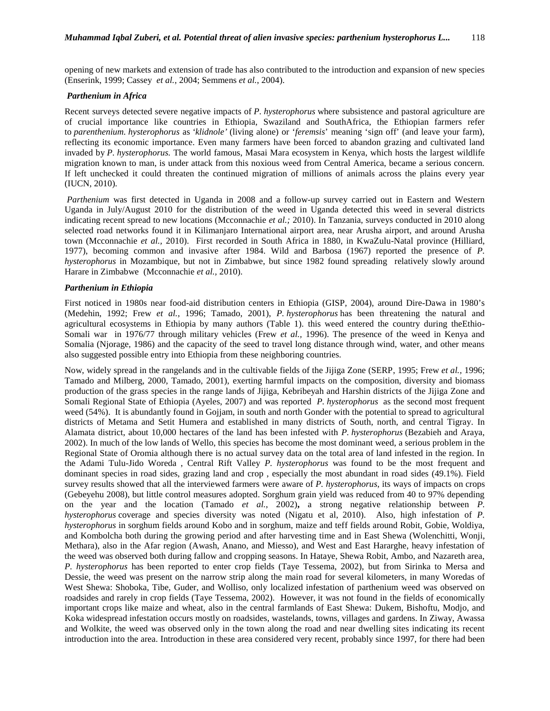opening of new markets and extension of trade has also contributed to the introduction and expansion of new species (Enserink, 1999; Cassey *et al.*, 2004; Semmens *et al.*, 2004).

### *Parthenium in Africa*

Recent surveys detected severe negative impacts of *P. hysterophorus* where subsistence and pastoral agriculture are of crucial importance like countries in Ethiopia, Swaziland and SouthAfrica, the Ethiopian farmers refer to *parenthenium. hysterophorus* as *'klidnole'* (living alone) or '*feremsis*' meaning 'sign off' (and leave your farm), reflecting its economic importance. Even many farmers have been forced to abandon grazing and cultivated land invaded by *P. hysterophorus.* The world famous, Masai Mara ecosystem in Kenya, which hosts the largest wildlife migration known to man, is under attack from this noxious weed from Central America, became a serious concern. If left unchecked it could threaten the continued migration of millions of animals across the plains every year (IUCN, 2010).

*Parthenium* was first detected in Uganda in 2008 and a follow-up survey carried out in Eastern and Western Uganda in July/August 2010 for the distribution of the weed in Uganda detected this weed in several districts indicating recent spread to new locations (Mcconnachie *et al.;* 2010). In Tanzania, surveys conducted in 2010 along selected road networks found it in Kilimanjaro International airport area, near Arusha airport, and around Arusha town (Mcconnachie *et al.,* 2010). First recorded in South Africa in 1880, in KwaZulu-Natal province (Hilliard, 1977), becoming common and invasive after 1984. Wild and Barbosa (1967) reported the presence of *P. hysterophorus* in Mozambique, but not in Zimbabwe, but since 1982 found spreading relatively slowly around Harare in Zimbabwe (Mcconnachie *et al.,* 2010).

## *Parthenium in Ethiopia*

First noticed in 1980s near food-aid distribution centers in Ethiopia (GISP, 2004), around Dire-Dawa in 1980's (Medehin, 1992; Frew *et al.,* 1996; Tamado, 2001), *P. hysterophorus* has been threatening the natural and agricultural ecosystems in Ethiopia by many authors (Table 1). this weed entered the country during theEthio- Somali war in 1976/77 through military vehicles (Frew *et al.,* 1996). The presence of the weed in Kenya and Somalia (Njorage, 1986) and the capacity of the seed to travel long distance through wind, water, and other means also suggested possible entry into Ethiopia from these neighboring countries.

Now, widely spread in the rangelands and in the cultivable fields of the Jijiga Zone (SERP, 1995; Frew *et al.,* 1996; Tamado and Milberg, 2000, Tamado, 2001), exerting harmful impacts on the composition, diversity and biomass production of the grass species in the range lands of Jijiga, Kebribeyah and Harshin districts of the Jijiga Zone and Somali Regional State of Ethiopia (Ayeles, 2007) and was reported *P. hysterophorus* as the second most frequent weed (54%). It is abundantly found in Gojjam, in south and north Gonder with the potential to spread to agricultural districts of Metama and Setit Humera and established in many districts of South, north, and central Tigray. In Alamata district, about 10,000 hectares of the land has been infested with *P. hysterophorus* (Bezabieh and Araya, 2002). In much of the low lands of Wello, this species has become the most dominant weed, a serious problem in the Regional State of Oromia although there is no actual survey data on the total area of land infested in the region. In the Adami Tulu-Jido Woreda , Central Rift Valley *P. hysterophorus* was found to be the most frequent and dominant species in road sides, grazing land and crop , especially the most abundant in road sides (49.1%). Field survey results showed that all the interviewed farmers were aware of *P. hysterophorus*, its ways of impacts on crops (Gebeyehu 2008), but little control measures adopted. Sorghum grain yield was reduced from 40 to 97% depending on the year and the location (Tamado *et al.*, 2002)**,** a strong negative relationship between *P. hysterophorus* coverage and species diversity was noted (Nigatu et al, 2010). Also, high infestation of *P. hysterophorus* in sorghum fields around Kobo and in sorghum, maize and teff fields around Robit, Gobie, Woldiya, and Kombolcha both during the growing period and after harvesting time and in East Shewa (Wolenchitti, Wonji, Methara), also in the Afar region (Awash, Anano, and Miesso), and West and East Hararghe, heavy infestation of the weed was observed both during fallow and cropping seasons. In Hataye, Shewa Robit, Ambo, and Nazareth area, *P. hysterophorus* has been reported to enter crop fields (Taye Tessema, 2002), but from Sirinka to Mersa and Dessie, the weed was present on the narrow strip along the main road for several kilometers, in many Woredas of West Shewa: Shoboka, Tibe, Guder, and Wolliso, only localized infestation of parthenium weed was observed on roadsides and rarely in crop fields (Taye Tessema, 2002). However, it was not found in the fields of economically important crops like maize and wheat, also in the central farmlands of East Shewa: Dukem, Bishoftu, Modjo, and Koka widespread infestation occurs mostly on roadsides, wastelands, towns, villages and gardens. In Ziway, Awassa and Wolkite, the weed was observed only in the town along the road and near dwelling sites indicating its recent introduction into the area. Introduction in these area considered very recent, probably since 1997, for there had been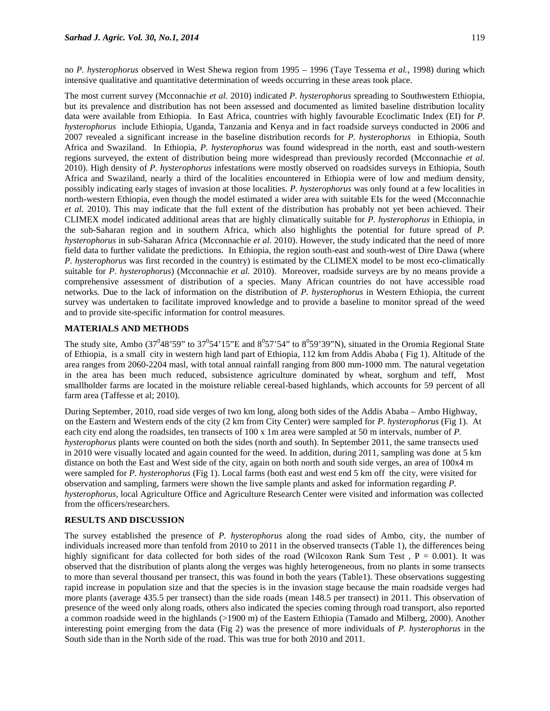no *P. hysterophorus* observed in West Shewa region from 1995 – 1996 (Taye Tessema *et al.*, 1998) during which intensive qualitative and quantitative determination of weeds occurring in these areas took place.

The most current survey (Mcconnachie *et al.* 2010) indicated *P. hysterophorus* spreading to Southwestern Ethiopia, but its prevalence and distribution has not been assessed and documented as limited baseline distribution locality data were available from Ethiopia. In East Africa, countries with highly favourable Ecoclimatic Index (EI) for *P. hysterophorus* include Ethiopia, Uganda, Tanzania and Kenya and in fact roadside surveys conducted in 2006 and 2007 revealed a significant increase in the baseline distribution records for *P. hysterophorus* in Ethiopia, South Africa and Swaziland. In Ethiopia, *P. hysterophorus* was found widespread in the north, east and south-western regions surveyed, the extent of distribution being more widespread than previously recorded (Mcconnachie *et al.* 2010). High density of *P. hysterophorus* infestations were mostly observed on roadsides surveys in Ethiopia, South Africa and Swaziland, nearly a third of the localities encountered in Ethiopia were of low and medium density, possibly indicating early stages of invasion at those localities. *P. hysterophorus* was only found at a few localities in north-western Ethiopia, even though the model estimated a wider area with suitable EIs for the weed (Mcconnachie *et al.* 2010). This may indicate that the full extent of the distribution has probably not yet been achieved. Their CLIMEX model indicated additional areas that are highly climatically suitable for *P. hysterophorus* in Ethiopia, in the sub-Saharan region and in southern Africa, which also highlights the potential for future spread of *P. hysterophorus* in sub-Saharan Africa (Mcconnachie *et al.* 2010). However, the study indicated that the need of more field data to further validate the predictions. In Ethiopia, the region south-east and south-west of Dire Dawa (where *P. hysterophorus* was first recorded in the country) is estimated by the CLIMEX model to be most eco-climatically suitable for *P. hysterophorus*) (Mcconnachie *et al.* 2010). Moreover, roadside surveys are by no means provide a comprehensive assessment of distribution of a species. Many African countries do not have accessible road networks. Due to the lack of information on the distribution of *P. hysterophorus* in Western Ethiopia, the current survey was undertaken to facilitate improved knowledge and to provide a baseline to monitor spread of the weed and to provide site-specific information for control measures.

## **MATERIALS AND METHODS**

The study site, Ambo (37<sup>0</sup>48'59" to 37<sup>0</sup>54'15"E and  $8^0$ 57'54" to  $8^0$ 59'39"N), situated in the Oromia Regional State of Ethiopia, is a small city in western high land part of Ethiopia, 112 km from Addis Ababa ( Fig 1). Altitude of the area ranges from 2060-2204 masl, with total annual rainfall ranging from 800 mm-1000 mm. The natural vegetation in the area has been much reduced, subsistence agriculture dominated by wheat, sorghum and teff, Most smallholder farms are located in the moisture reliable cereal-based highlands, which accounts for 59 percent of all farm area (Taffesse et al; 2010).

During September, 2010, road side verges of two km long, along both sides of the Addis Ababa – Ambo Highway, on the Eastern and Western ends of the city (2 km from City Center) were sampled for *P. hysterophorus* (Fig 1). At each city end along the roadsides, ten transects of 100 x 1m area were sampled at 50 m intervals, number of *P. hysterophorus* plants were counted on both the sides (north and south). In September 2011, the same transects used in 2010 were visually located and again counted for the weed. In addition, during 2011, sampling was done at 5 km distance on both the East and West side of the city, again on both north and south side verges, an area of 100x4 m were sampled for *P. hysterophorus* (Fig 1). Local farms (both east and west end 5 km off the city, were visited for observation and sampling, farmers were shown the live sample plants and asked for information regarding *P. hysterophorus*, local Agriculture Office and Agriculture Research Center were visited and information was collected from the officers/researchers.

#### **RESULTS AND DISCUSSION**

The survey established the presence of *P. hysterophorus* along the road sides of Ambo, city, the number of individuals increased more than tenfold from 2010 to 2011 in the observed transects (Table 1), the differences being highly significant for data collected for both sides of the road (Wilcoxon Rank Sum Test,  $P = 0.001$ ). It was observed that the distribution of plants along the verges was highly heterogeneous, from no plants in some transects to more than several thousand per transect, this was found in both the years (Table1). These observations suggesting rapid increase in population size and that the species is in the invasion stage because the main roadside verges had more plants (average 435.5 per transect) than the side roads (mean 148.5 per transect) in 2011. This observation of presence of the weed only along roads, others also indicated the species coming through road transport, also reported a common roadside weed in the highlands (>1900 m) of the Eastern Ethiopia (Tamado and Milberg, 2000). Another interesting point emerging from the data (Fig 2) was the presence of more individuals of *P. hysterophorus* in the South side than in the North side of the road. This was true for both 2010 and 2011.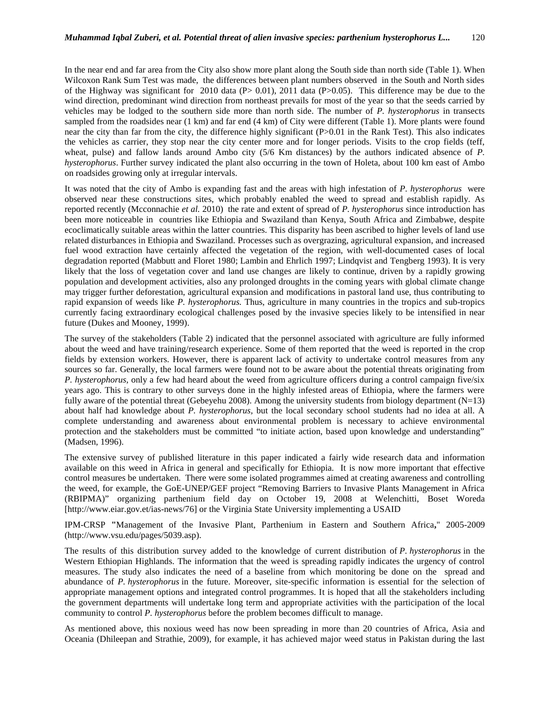In the near end and far area from the City also show more plant along the South side than north side (Table 1). When Wilcoxon Rank Sum Test was made, the differences between plant numbers observed in the South and North sides of the Highway was significant for 2010 data  $(P> 0.01)$ , 2011 data  $(P> 0.05)$ . This difference may be due to the wind direction, predominant wind direction from northeast prevails for most of the year so that the seeds carried by vehicles may be lodged to the southern side more than north side. The number of *P. hysterophorus* in transects sampled from the roadsides near (1 km) and far end (4 km) of City were different (Table 1). More plants were found near the city than far from the city, the difference highly significant (P>0.01 in the Rank Test). This also indicates the vehicles as carrier, they stop near the city center more and for longer periods. Visits to the crop fields (teff, wheat, pulse) and fallow lands around Ambo city (5/6 Km distances) by the authors indicated absence of *P. hysterophorus*. Further survey indicated the plant also occurring in the town of Holeta, about 100 km east of Ambo on roadsides growing only at irregular intervals.

It was noted that the city of Ambo is expanding fast and the areas with high infestation of *P. hysterophorus* were observed near these constructions sites, which probably enabled the weed to spread and establish rapidly. As reported recently (Mcconnachie *et al.* 2010) the rate and extent of spread of *P. hysterophorus* since introduction has been more noticeable in countries like Ethiopia and Swaziland than Kenya, South Africa and Zimbabwe, despite ecoclimatically suitable areas within the latter countries. This disparity has been ascribed to higher levels of land use related disturbances in Ethiopia and Swaziland. Processes such as overgrazing, agricultural expansion, and increased fuel wood extraction have certainly affected the vegetation of the region, with well-documented cases of local degradation reported (Mabbutt and Floret 1980; Lambin and Ehrlich 1997; Lindqvist and Tengberg 1993). It is very likely that the loss of vegetation cover and land use changes are likely to continue, driven by a rapidly growing population and development activities, also any prolonged droughts in the coming years with global climate change may trigger further deforestation, agricultural expansion and modifications in pastoral land use, thus contributing to rapid expansion of weeds like *P. hysterophorus.* Thus, agriculture in many countries in the tropics and sub-tropics currently facing extraordinary ecological challenges posed by the invasive species likely to be intensified in near future (Dukes and Mooney, 1999).

The survey of the stakeholders (Table 2) indicated that the personnel associated with agriculture are fully informed about the weed and have training/research experience. Some of them reported that the weed is reported in the crop fields by extension workers. However, there is apparent lack of activity to undertake control measures from any sources so far. Generally, the local farmers were found not to be aware about the potential threats originating from *P. hysterophorus,* only a few had heard about the weed from agriculture officers during a control campaign five/six years ago. This is contrary to other surveys done in the highly infested areas of Ethiopia, where the farmers were fully aware of the potential threat (Gebeyehu 2008). Among the university students from biology department ( $N=13$ ) about half had knowledge about *P. hysterophorus,* but the local secondary school students had no idea at all. A complete understanding and awareness about environmental problem is necessary to achieve environmental protection and the stakeholders must be committed "to initiate action, based upon knowledge and understanding" (Madsen, 1996).

The extensive survey of published literature in this paper indicated a fairly wide research data and information available on this weed in Africa in general and specifically for Ethiopia. It is now more important that effective control measures be undertaken. There were some isolated programmes aimed at creating awareness and controlling the weed, for example, the GoE-UNEP/GEF project "Removing Barriers to Invasive Plants Management in Africa (RBIPMA)" organizing parthenium field day on October 19, 2008 at Welenchitti, Boset Woreda [http://www.eiar.gov.et/ias-news/76] or the Virginia State University implementing a USAID

IPM-CRSP **"**Management of the Invasive Plant, Parthenium in Eastern and Southern Africa**,**" 2005-2009 (http://www.vsu.edu/pages/5039.asp).

The results of this distribution survey added to the knowledge of current distribution of *P. hysterophorus* in the Western Ethiopian Highlands. The information that the weed is spreading rapidly indicates the urgency of control measures. The study also indicates the need of a baseline from which monitoring be done on the spread and abundance of *P. hysterophorus* in the future. Moreover, site-specific information is essential for the selection of appropriate management options and integrated control programmes. It is hoped that all the stakeholders including the government departments will undertake long term and appropriate activities with the participation of the local community to control *P. hysterophorus* before the problem becomes difficult to manage.

As mentioned above, this noxious weed has now been spreading in more than 20 countries of Africa, Asia and Oceania (Dhileepan and Strathie, 2009), for example, it has achieved major weed status in Pakistan during the last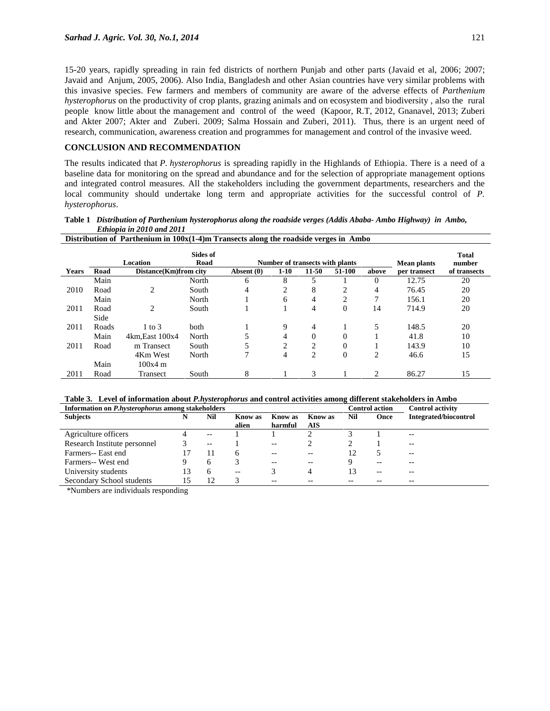15-20 years, rapidly spreading in rain fed districts of northern Punjab and other parts (Javaid et al, 2006; 2007; Javaid and Anjum, 2005, 2006). Also India, Bangladesh and other Asian countries have very similar problems with this invasive species. Few farmers and members of community are aware of the adverse effects of *Parthenium hysterophorus* on the productivity of crop plants, grazing animals and on ecosystem and biodiversity , also the rural people know little about the management and control of the weed (Kapoor, R.T, 2012, Gnanavel, 2013; Zuberi and Akter 2007; Akter and Zuberi. 2009; Salma Hossain and Zuberi, 2011). Thus, there is an urgent need of research, communication, awareness creation and programmes for management and control of the invasive weed.

## **CONCLUSION AND RECOMMENDATION**

Transect

The results indicated that *P. hysterophorus* is spreading rapidly in the Highlands of Ethiopia. There is a need of a baseline data for monitoring on the spread and abundance and for the selection of appropriate management options and integrated control measures. All the stakeholders including the government departments, researchers and the local community should undertake long term and appropriate activities for the successful control of *P. hysterophorus*.

| Lunoput in 2010 unu 2011<br>Distribution of Parthenium in $100x(1-4)$ m Transects along the roadside verges in Ambo |       |                       |                         |            |                                 |                    |                        |          |              |              |
|---------------------------------------------------------------------------------------------------------------------|-------|-----------------------|-------------------------|------------|---------------------------------|--------------------|------------------------|----------|--------------|--------------|
|                                                                                                                     |       | Location              | <b>Sides of</b><br>Road |            | Number of transects with plants | <b>Mean plants</b> | <b>Total</b><br>number |          |              |              |
| <b>Years</b>                                                                                                        | Road  | Distance(Km)from city |                         | Absent (0) | $1-10$                          | 11-50              | 51-100                 | above    | per transect | of transects |
|                                                                                                                     | Main  |                       | North                   | 6          | 8                               |                    |                        | $\Omega$ | 12.75        | 20           |
| 2010                                                                                                                | Road  | 2                     | South                   | 4          | 2                               | 8                  | 2                      | 4        | 76.45        | 20           |
|                                                                                                                     | Main  |                       | North                   |            | 6                               | 4                  | 2                      | 7        | 156.1        | 20           |
| 2011                                                                                                                | Road  | $\overline{c}$        | South                   |            |                                 | 4                  | $\Omega$               | 14       | 714.9        | 20           |
|                                                                                                                     | Side  |                       |                         |            |                                 |                    |                        |          |              |              |
| 2011                                                                                                                | Roads | $1$ to $3$            | <b>both</b>             |            | 9                               | 4                  |                        | 5        | 148.5        | 20           |
|                                                                                                                     | Main  | $4km$ , East $100x4$  | North                   |            | 4                               | $\theta$           | $\Omega$               |          | 41.8         | 10           |
| 2011                                                                                                                | Road  | m Transect            | South                   |            | 2                               | 2                  | $\Omega$               |          | 143.9        | 10           |
|                                                                                                                     |       | 4Km West              | North                   |            | 4                               | 2                  | $\overline{0}$         | 2        | 46.6         | 15           |
|                                                                                                                     | Main  | $100x4 \text{ m}$     |                         |            |                                 |                    |                        |          |              |              |

**Table 1** *Distribution of Parthenium hysterophorus along the roadside verges (Addis Ababa- Ambo Highway) in Ambo, Ethiopia in 2010 and 2011*

| Table 3. Level of information about <i>P.hysterophorus</i> and control activities among different stakeholders in Ambo |                                 |  |
|------------------------------------------------------------------------------------------------------------------------|---------------------------------|--|
| Information on P hysteronhorus among stakeholders                                                                      | Control oction Control octivity |  |

South 8 1 3 1 2 86.27 15

| Information on <i>P.hysterophorus</i> among stakeholders |    |       |                |         |                | <b>Control action</b> |       | <b>Control activity</b>      |
|----------------------------------------------------------|----|-------|----------------|---------|----------------|-----------------------|-------|------------------------------|
| <b>Subjects</b>                                          | N  | Nil   | <b>Know</b> as | Know as | <b>Know</b> as | Nil                   | Once  | <b>Integrated/biocontrol</b> |
|                                                          |    |       | alien          | harmful | AIS            |                       |       |                              |
| Agriculture officers                                     |    | $- -$ |                |         |                |                       |       | $- -$                        |
| Research Institute personnel                             |    | $- -$ |                | $- -$   |                |                       |       | --                           |
| Farmers-- East end                                       |    | 11    | 6              | $- -$   | $- -$          |                       |       | $- -$                        |
| Farmers-- West end                                       |    | h     |                | --      | $- -$          |                       | $- -$ | --                           |
| University students                                      | 13 | h     | $-$            |         | 4              |                       | $- -$ |                              |
| Secondary School students                                | 15 | 12    | 3              | $- -$   | $ -$           |                       |       | --                           |

\*Numbers are individuals responding

2011 Road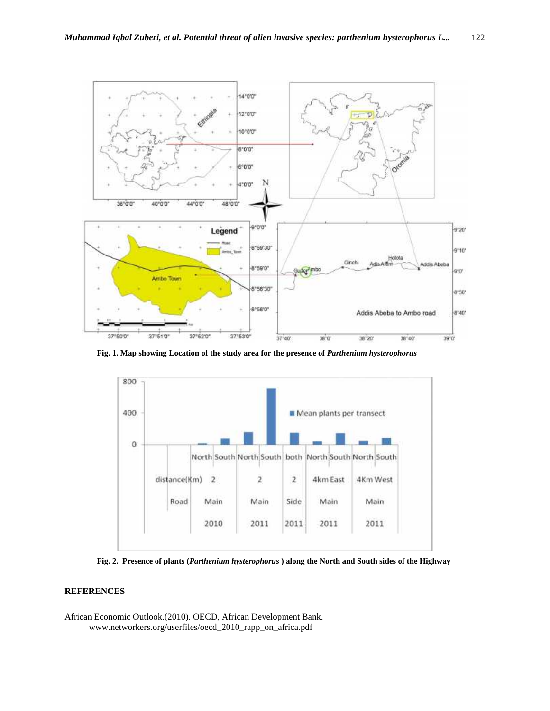

**Fig. 1. Map showing Location of the study area for the presence of** *Parthenium hysterophorus*



**Fig. 2. Presence of plants (***Parthenium hysterophorus* **) along the North and South sides of the Highway**

## **REFERENCES**

African Economic Outlook.(2010). OECD, African Development Bank. www.networkers.org/userfiles/oecd\_2010\_rapp\_on\_africa.pdf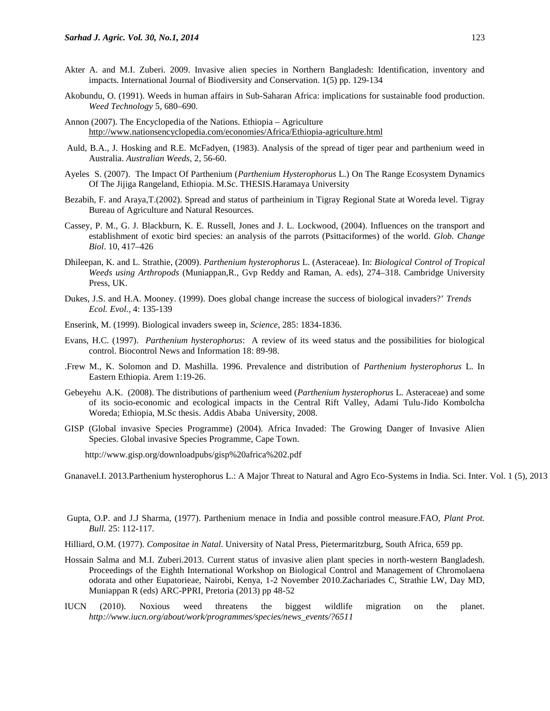- Akter A. and M.I. Zuberi. 2009. Invasive alien species in Northern Bangladesh: Identification, inventory and impacts. International Journal of Biodiversity and Conservation. 1(5) pp. 129-134
- Akobundu, O. (1991). Weeds in human affairs in Sub-Saharan Africa: implications for sustainable food production. *Weed Technology* 5, 680–690.
- Annon (2007). The Encyclopedia of the Nations. Ethiopia Agriculture http://www.nationsencyclopedia.com/economies/Africa/Ethiopia-agriculture.html
- Auld, B.A., J. Hosking and R.E. McFadyen, (1983). Analysis of the spread of tiger pear and parthenium weed in Australia. *Australian Weeds,* 2, 56-60.
- Ayeles S. (2007). The Impact Of Parthenium (*Parthenium Hysterophorus* L.) On The Range Ecosystem Dynamics Of The Jijiga Rangeland, Ethiopia. M.Sc. THESIS.Haramaya University
- Bezabih, F. and Araya,T.(2002). Spread and status of partheinium in Tigray Regional State at Woreda level. Tigray Bureau of Agriculture and Natural Resources.
- Cassey, P. M., G. J. Blackburn, K. E. Russell, Jones and J. L. Lockwood, (2004). Influences on the transport and establishment of exotic bird species: an analysis of the parrots (Psittaciformes) of the world. *Glob. Change Biol*. 10, 417–426
- Dhileepan, K. and L. Strathie, (2009). *Parthenium hysterophorus* L. (Asteraceae). In: *Biological Control of Tropical Weeds using Arthropods* (Muniappan,R., Gvp Reddy and Raman, A. eds), 274–318. Cambridge University Press, UK.
- Dukes, J.S. and H.A. Mooney. (1999). Does global change increase the success of biological invaders?' *Trends Ecol. Evol.,* 4: 135-139
- Enserink, M. (1999). Biological invaders sweep in, *Science,* 285: 1834-1836.
- Evans, H.C. (1997). *Parthenium hysterophorus*: A review of its weed status and the possibilities for biological control. Biocontrol News and Information 18: 89-98.
- .Frew M., K. Solomon and D. Mashilla. 1996. Prevalence and distribution of *Parthenium hysterophorus* L. In Eastern Ethiopia. Arem 1:19-26.
- Gebeyehu A.K. (2008). The distributions of parthenium weed (*Parthenium hysterophorus* L. Asteraceae) and some of its socio-economic and ecological impacts in the Central Rift Valley, Adami Tulu-Jido Kombolcha Woreda; Ethiopia, M.Sc thesis. Addis Ababa University, 2008.
- GISP (Global invasive Species Programme) (2004). Africa Invaded: The Growing Danger of Invasive Alien Species. Global invasive Species Programme, Cape Town.

http://www.gisp.org/downloadpubs/gisp%20africa%202.pdf

Gnanavel.I. 2013.Parthenium hysterophorus L.: A Major Threat to Natural and Agro Eco-Systems in India. Sci. Inter. Vol. 1 (5), 2013

- Gupta, O.P. and J.J Sharma, (1977). Parthenium menace in India and possible control measure.FAO, *Plant Prot. Bull.* 25: 112-117.
- Hilliard, O.M. (1977). *Compositae in Natal*. University of Natal Press, Pietermaritzburg, South Africa, 659 pp.
- Hossain Salma and M.I. Zuberi.2013. Current status of invasive alien plant species in north-western Bangladesh. Proceedings of the Eighth International Workshop on Biological Control and Management of Chromolaena odorata and other Eupatorieae, Nairobi, Kenya, 1-2 November 2010.Zachariades C, Strathie LW, Day MD, Muniappan R (eds) ARC-PPRI, Pretoria (2013) pp 48-52
- IUCN (2010). Noxious weed threatens the biggest wildlife migration on the planet. *http://www.iucn.org/about/work/programmes/species/news\_events/?6511*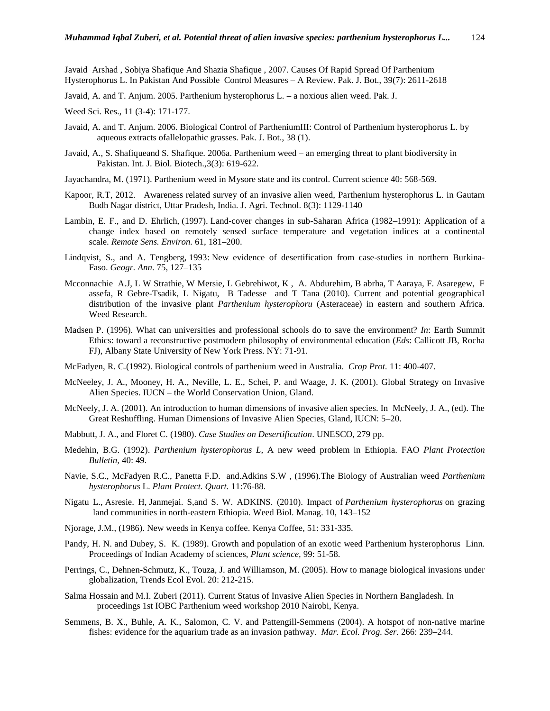Javaid Arshad , Sobiya Shafique And Shazia Shafique , 2007. Causes Of Rapid Spread Of Parthenium Hysterophorus L. In Pakistan And Possible Control Measures – A Review. Pak. J. Bot., 39(7): 2611-2618

Javaid, A. and T. Anjum. 2005. Parthenium hysterophorus L. – a noxious alien weed. Pak. J.

Weed Sci. Res., 11 (3-4): 171-177.

- Javaid, A. and T. Anjum. 2006. Biological Control of PartheniumIII: Control of Parthenium hysterophorus L. by aqueous extracts ofallelopathic grasses. Pak. J. Bot., 38 (1).
- Javaid, A., S. Shafiqueand S. Shafique. 2006a. Parthenium weed an emerging threat to plant biodiversity in Pakistan. Int. J. Biol. Biotech.,3(3): 619-622.
- Jayachandra, M. (1971). Parthenium weed in Mysore state and its control. Current science 40: 568-569.
- Kapoor, R.T, 2012. Awareness related survey of an invasive alien weed, Parthenium hysterophorus L. in Gautam Budh Nagar district, Uttar Pradesh, India. J. Agri. Technol. 8(3): 1129-1140
- Lambin, E. F., and D. Ehrlich, (1997). Land-cover changes in sub-Saharan Africa (1982–1991): Application of a change index based on remotely sensed surface temperature and vegetation indices at a continental scale. *Remote Sens. Environ.* 61, 181–200.
- Lindqvist, S., and A. Tengberg, 1993: New evidence of desertification from case-studies in northern Burkina- Faso. *Geogr. Ann.* 75, 127–135
- Mcconnachie A.J, L W Strathie, W Mersie, L Gebrehiwot, K , A. Abdurehim, B abrha, T Aaraya, F. Asaregew, F assefa, R Gebre-Tsadik, L Nigatu, B Tadesse and T Tana (2010). Current and potential geographical distribution of the invasive plant *Parthenium hysterophoru* (Asteraceae) in eastern and southern Africa. Weed Research.
- Madsen P. (1996). What can universities and professional schools do to save the environment? *In*: Earth Summit Ethics: toward a reconstructive postmodern philosophy of environmental education (*Eds*: Callicott JB, Rocha FJ), Albany State University of New York Press. NY: 71-91.
- McFadyen, R. C.(1992). Biological controls of parthenium weed in Australia. *Crop Prot.* 11: 400-407.
- McNeeley, J. A., Mooney, H. A., Neville, L. E., Schei, P. and Waage, J. K. (2001). Global Strategy on Invasive Alien Species. IUCN – the World Conservation Union, Gland.
- McNeely, J. A. (2001). An introduction to human dimensions of invasive alien species. In McNeely, J. A., (ed). The Great Reshuffling. Human Dimensions of Invasive Alien Species, Gland, IUCN: 5–20.
- Mabbutt, J. A., and Floret C. (1980). *Case Studies on Desertification*. UNESCO, 279 pp.
- Medehin, B.G. (1992). *Parthenium hysterophorus L,* A new weed problem in Ethiopia. FAO *Plant Protection Bulletin,* 40: 49.
- Navie, S.C., McFadyen R.C., Panetta F.D. and.Adkins S.W , (1996).The Biology of Australian weed *Parthenium hysterophorus* L. *Plant Protect. Quart.* 11:76-88.
- Nigatu L., Asresie. H, Janmejai. S,and S. W. ADKINS. (2010). Impact of *Parthenium hysterophorus* on grazing land communities in north-eastern Ethiopia*.* Weed Biol. Manag. 10, 143–152
- Njorage, J.M., (1986). New weeds in Kenya coffee. Kenya Coffee, 51: 331-335.
- Pandy, H. N. and Dubey, S. K. (1989). Growth and population of an exotic weed Parthenium hysterophorus Linn. Proceedings of Indian Academy of sciences, *Plant science,* 99: 51-58.
- Perrings, C., Dehnen-Schmutz, K., Touza, J. and Williamson, M. (2005). How to manage biological invasions under globalization, Trends Ecol Evol. 20: 212-215.
- Salma Hossain and M.I. Zuberi (2011). Current Status of Invasive Alien Species in Northern Bangladesh. In proceedings 1st IOBC Parthenium weed workshop 2010 Nairobi, Kenya.
- Semmens, B. X., Buhle, A. K., Salomon, C. V. and Pattengill-Semmens (2004). A hotspot of non-native marine fishes: evidence for the aquarium trade as an invasion pathway. *Mar. Ecol. Prog. Ser.* 266: 239–244.